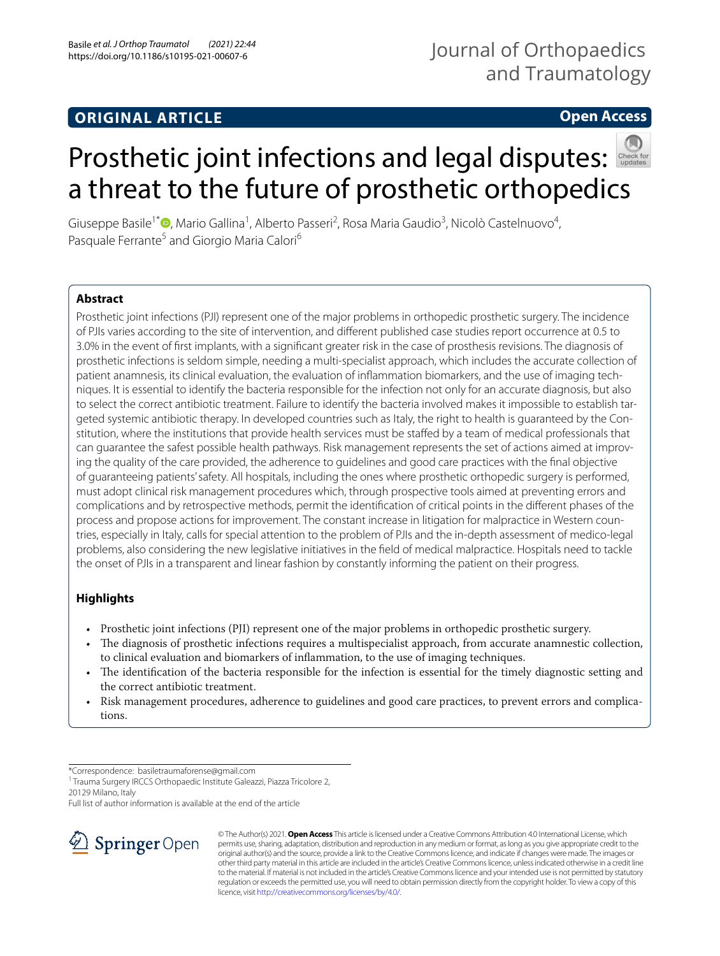### **ORIGINAL ARTICLE**

## Journal of Orthopaedics and Traumatology

### **Open Access**



# Prostheticjoint infections and legal disputes: a threat to the future of prosthetic orthopedics

Giuseppe Basile<sup>1\*</sup>®[,](http://orcid.org/0000-0001-9602-4223) Mario Gallina<sup>1</sup>, Alberto Passeri<sup>2</sup>, Rosa Maria Gaudio<sup>3</sup>, Nicolò Castelnuovo<sup>4</sup>, Pasquale Ferrante<sup>5</sup> and Giorgio Maria Calori<sup>6</sup>

#### **Abstract**

Prosthetic joint infections (PJI) represent one of the major problems in orthopedic prosthetic surgery. The incidence of PJIs varies according to the site of intervention, and diferent published case studies report occurrence at 0.5 to 3.0% in the event of frst implants, with a signifcant greater risk in the case of prosthesis revisions. The diagnosis of prosthetic infections is seldom simple, needing a multi-specialist approach, which includes the accurate collection of patient anamnesis, its clinical evaluation, the evaluation of infammation biomarkers, and the use of imaging techniques. It is essential to identify the bacteria responsible for the infection not only for an accurate diagnosis, but also to select the correct antibiotic treatment. Failure to identify the bacteria involved makes it impossible to establish targeted systemic antibiotic therapy. In developed countries such as Italy, the right to health is guaranteed by the Constitution, where the institutions that provide health services must be stafed by a team of medical professionals that can guarantee the safest possible health pathways. Risk management represents the set of actions aimed at improving the quality of the care provided, the adherence to guidelines and good care practices with the fnal objective of guaranteeing patients' safety. All hospitals, including the ones where prosthetic orthopedic surgery is performed, must adopt clinical risk management procedures which, through prospective tools aimed at preventing errors and complications and by retrospective methods, permit the identifcation of critical points in the diferent phases of the process and propose actions for improvement. The constant increase in litigation for malpractice in Western countries, especially in Italy, calls for special attention to the problem of PJIs and the in-depth assessment of medico-legal problems, also considering the new legislative initiatives in the feld of medical malpractice. Hospitals need to tackle the onset of PJIs in a transparent and linear fashion by constantly informing the patient on their progress.

#### **Highlights**

- Prosthetic joint infections (PJI) represent one of the major problems in orthopedic prosthetic surgery.
- The diagnosis of prosthetic infections requires a multispecialist approach, from accurate anamnestic collection, to clinical evaluation and biomarkers of infammation, to the use of imaging techniques.
- The identification of the bacteria responsible for the infection is essential for the timely diagnostic setting and the correct antibiotic treatment.
- Risk management procedures, adherence to guidelines and good care practices, to prevent errors and complications.

\*Correspondence: basiletraumaforense@gmail.com

<sup>1</sup> Trauma Surgery IRCCS Orthopaedic Institute Galeazzi, Piazza Tricolore 2, 20129 Milano, Italy

Full list of author information is available at the end of the article



© The Author(s) 2021. **Open Access** This article is licensed under a Creative Commons Attribution 4.0 International License, which permits use, sharing, adaptation, distribution and reproduction in any medium or format, as long as you give appropriate credit to the original author(s) and the source, provide a link to the Creative Commons licence, and indicate if changes were made. The images or other third party material in this article are included in the article's Creative Commons licence, unless indicated otherwise in a credit line to the material. If material is not included in the article's Creative Commons licence and your intended use is not permitted by statutory regulation or exceeds the permitted use, you will need to obtain permission directly from the copyright holder. To view a copy of this licence, visit [http://creativecommons.org/licenses/by/4.0/.](http://creativecommons.org/licenses/by/4.0/)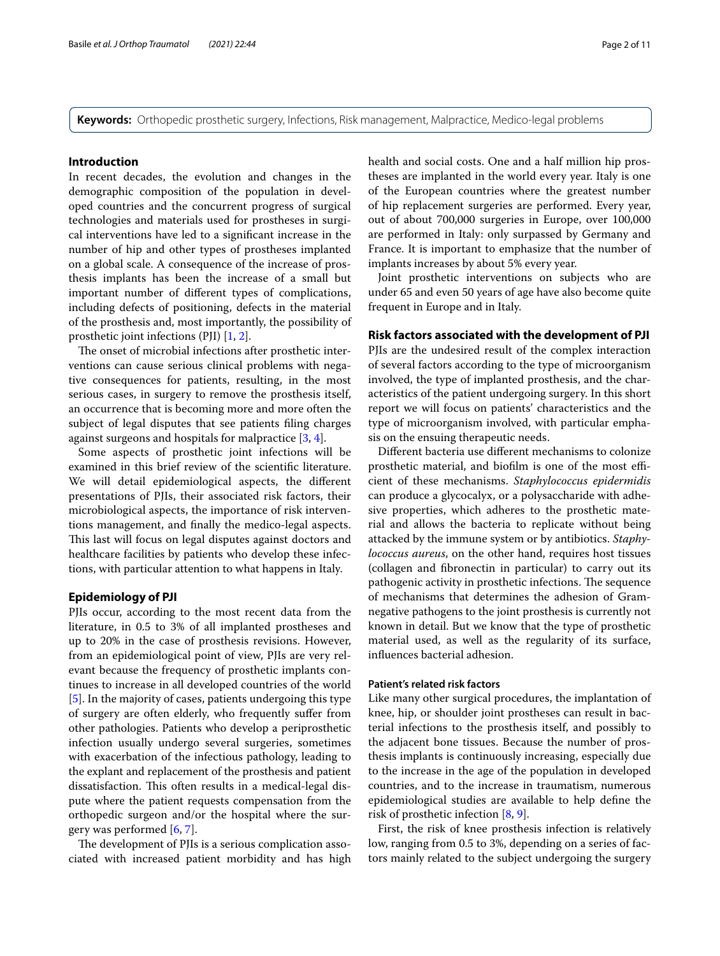**Keywords:** Orthopedic prosthetic surgery, Infections, Risk management, Malpractice, Medico-legal problems

#### **Introduction**

In recent decades, the evolution and changes in the demographic composition of the population in developed countries and the concurrent progress of surgical technologies and materials used for prostheses in surgical interventions have led to a signifcant increase in the number of hip and other types of prostheses implanted on a global scale. A consequence of the increase of prosthesis implants has been the increase of a small but important number of diferent types of complications, including defects of positioning, defects in the material of the prosthesis and, most importantly, the possibility of prosthetic joint infections (PJI) [\[1](#page-9-0), [2\]](#page-9-1).

The onset of microbial infections after prosthetic interventions can cause serious clinical problems with negative consequences for patients, resulting, in the most serious cases, in surgery to remove the prosthesis itself, an occurrence that is becoming more and more often the subject of legal disputes that see patients fling charges against surgeons and hospitals for malpractice [\[3](#page-9-2), [4\]](#page-9-3).

Some aspects of prosthetic joint infections will be examined in this brief review of the scientifc literature. We will detail epidemiological aspects, the diferent presentations of PJIs, their associated risk factors, their microbiological aspects, the importance of risk interventions management, and fnally the medico-legal aspects. This last will focus on legal disputes against doctors and healthcare facilities by patients who develop these infections, with particular attention to what happens in Italy.

#### **Epidemiology of PJI**

PJIs occur, according to the most recent data from the literature, in 0.5 to 3% of all implanted prostheses and up to 20% in the case of prosthesis revisions. However, from an epidemiological point of view, PJIs are very relevant because the frequency of prosthetic implants continues to increase in all developed countries of the world [[5\]](#page-9-4). In the majority of cases, patients undergoing this type of surgery are often elderly, who frequently sufer from other pathologies. Patients who develop a periprosthetic infection usually undergo several surgeries, sometimes with exacerbation of the infectious pathology, leading to the explant and replacement of the prosthesis and patient dissatisfaction. This often results in a medical-legal dispute where the patient requests compensation from the orthopedic surgeon and/or the hospital where the surgery was performed [[6](#page-9-5), [7\]](#page-9-6).

The development of PJIs is a serious complication associated with increased patient morbidity and has high health and social costs. One and a half million hip prostheses are implanted in the world every year. Italy is one of the European countries where the greatest number of hip replacement surgeries are performed. Every year, out of about 700,000 surgeries in Europe, over 100,000 are performed in Italy: only surpassed by Germany and France. It is important to emphasize that the number of implants increases by about 5% every year.

Joint prosthetic interventions on subjects who are under 65 and even 50 years of age have also become quite frequent in Europe and in Italy.

#### **Risk factors associated with the development of PJI**

PJIs are the undesired result of the complex interaction of several factors according to the type of microorganism involved, the type of implanted prosthesis, and the characteristics of the patient undergoing surgery. In this short report we will focus on patients' characteristics and the type of microorganism involved, with particular emphasis on the ensuing therapeutic needs.

Diferent bacteria use diferent mechanisms to colonize prosthetic material, and biofilm is one of the most efficient of these mechanisms. *Staphylococcus epidermidis* can produce a glycocalyx, or a polysaccharide with adhesive properties, which adheres to the prosthetic material and allows the bacteria to replicate without being attacked by the immune system or by antibiotics. *Staphylococcus aureus*, on the other hand, requires host tissues (collagen and fbronectin in particular) to carry out its pathogenic activity in prosthetic infections. The sequence of mechanisms that determines the adhesion of Gramnegative pathogens to the joint prosthesis is currently not known in detail. But we know that the type of prosthetic material used, as well as the regularity of its surface, infuences bacterial adhesion.

#### **Patient's related risk factors**

Like many other surgical procedures, the implantation of knee, hip, or shoulder joint prostheses can result in bacterial infections to the prosthesis itself, and possibly to the adjacent bone tissues. Because the number of prosthesis implants is continuously increasing, especially due to the increase in the age of the population in developed countries, and to the increase in traumatism, numerous epidemiological studies are available to help defne the risk of prosthetic infection [\[8](#page-9-7), [9\]](#page-9-8).

First, the risk of knee prosthesis infection is relatively low, ranging from 0.5 to 3%, depending on a series of factors mainly related to the subject undergoing the surgery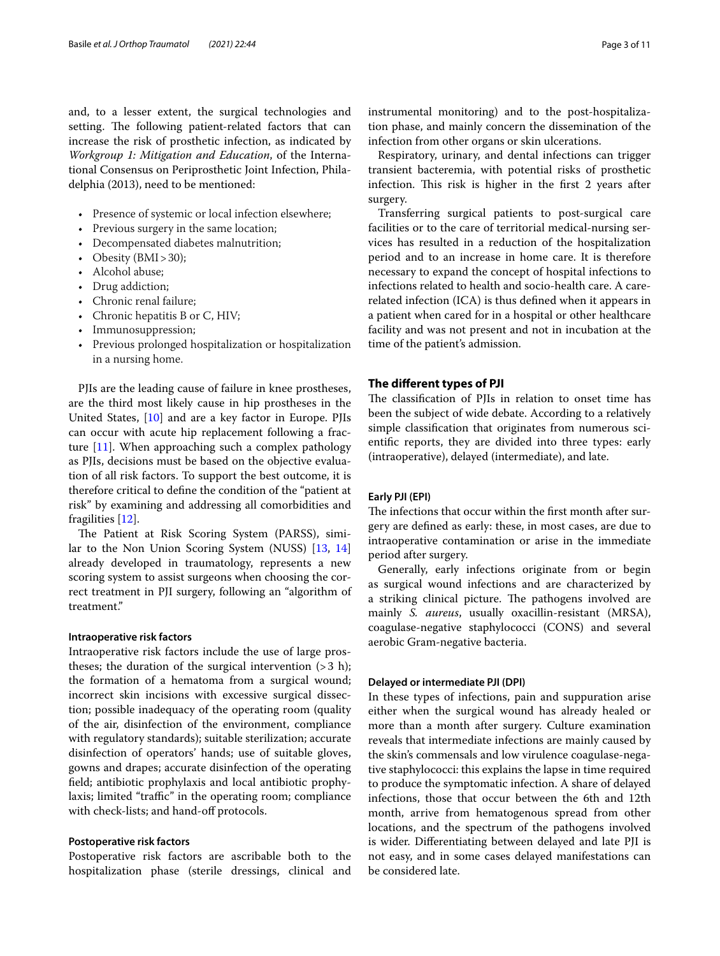and, to a lesser extent, the surgical technologies and setting. The following patient-related factors that can increase the risk of prosthetic infection, as indicated by *Workgroup 1: Mitigation and Education*, of the International Consensus on Periprosthetic Joint Infection, Philadelphia (2013), need to be mentioned:

- Presence of systemic or local infection elsewhere;
- Previous surgery in the same location;
- Decompensated diabetes malnutrition;
- Obesity (BMI>30);
- Alcohol abuse;
- Drug addiction;
- Chronic renal failure;
- Chronic hepatitis B or C, HIV;
- Immunosuppression;
- Previous prolonged hospitalization or hospitalization in a nursing home.

PJIs are the leading cause of failure in knee prostheses, are the third most likely cause in hip prostheses in the United States, [\[10\]](#page-9-9) and are a key factor in Europe. PJIs can occur with acute hip replacement following a fracture [[11\]](#page-9-10). When approaching such a complex pathology as PJIs, decisions must be based on the objective evaluation of all risk factors. To support the best outcome, it is therefore critical to defne the condition of the "patient at risk" by examining and addressing all comorbidities and fragilities [\[12](#page-9-11)].

The Patient at Risk Scoring System (PARSS), similar to the Non Union Scoring System (NUSS) [\[13](#page-9-12), [14](#page-9-13)] already developed in traumatology, represents a new scoring system to assist surgeons when choosing the correct treatment in PJI surgery, following an "algorithm of treatment."

#### **Intraoperative risk factors**

Intraoperative risk factors include the use of large prostheses; the duration of the surgical intervention  $(>3 h)$ ; the formation of a hematoma from a surgical wound; incorrect skin incisions with excessive surgical dissection; possible inadequacy of the operating room (quality of the air, disinfection of the environment, compliance with regulatory standards); suitable sterilization; accurate disinfection of operators' hands; use of suitable gloves, gowns and drapes; accurate disinfection of the operating feld; antibiotic prophylaxis and local antibiotic prophylaxis; limited "traffic" in the operating room; compliance with check-lists; and hand-off protocols.

#### **Postoperative risk factors**

Postoperative risk factors are ascribable both to the hospitalization phase (sterile dressings, clinical and instrumental monitoring) and to the post-hospitalization phase, and mainly concern the dissemination of the infection from other organs or skin ulcerations.

Respiratory, urinary, and dental infections can trigger transient bacteremia, with potential risks of prosthetic infection. This risk is higher in the first 2 years after surgery.

Transferring surgical patients to post-surgical care facilities or to the care of territorial medical-nursing services has resulted in a reduction of the hospitalization period and to an increase in home care. It is therefore necessary to expand the concept of hospital infections to infections related to health and socio-health care. A carerelated infection (ICA) is thus defned when it appears in a patient when cared for in a hospital or other healthcare facility and was not present and not in incubation at the time of the patient's admission.

#### **The diferent types of PJI**

The classification of PJIs in relation to onset time has been the subject of wide debate. According to a relatively simple classifcation that originates from numerous scientifc reports, they are divided into three types: early (intraoperative), delayed (intermediate), and late.

#### **Early PJI (EPI)**

The infections that occur within the first month after surgery are defned as early: these, in most cases, are due to intraoperative contamination or arise in the immediate period after surgery.

Generally, early infections originate from or begin as surgical wound infections and are characterized by a striking clinical picture. The pathogens involved are mainly *S. aureus*, usually oxacillin-resistant (MRSA), coagulase-negative staphylococci (CONS) and several aerobic Gram-negative bacteria.

#### **Delayed or intermediate PJI (DPI)**

In these types of infections, pain and suppuration arise either when the surgical wound has already healed or more than a month after surgery. Culture examination reveals that intermediate infections are mainly caused by the skin's commensals and low virulence coagulase-negative staphylococci: this explains the lapse in time required to produce the symptomatic infection. A share of delayed infections, those that occur between the 6th and 12th month, arrive from hematogenous spread from other locations, and the spectrum of the pathogens involved is wider. Diferentiating between delayed and late PJI is not easy, and in some cases delayed manifestations can be considered late.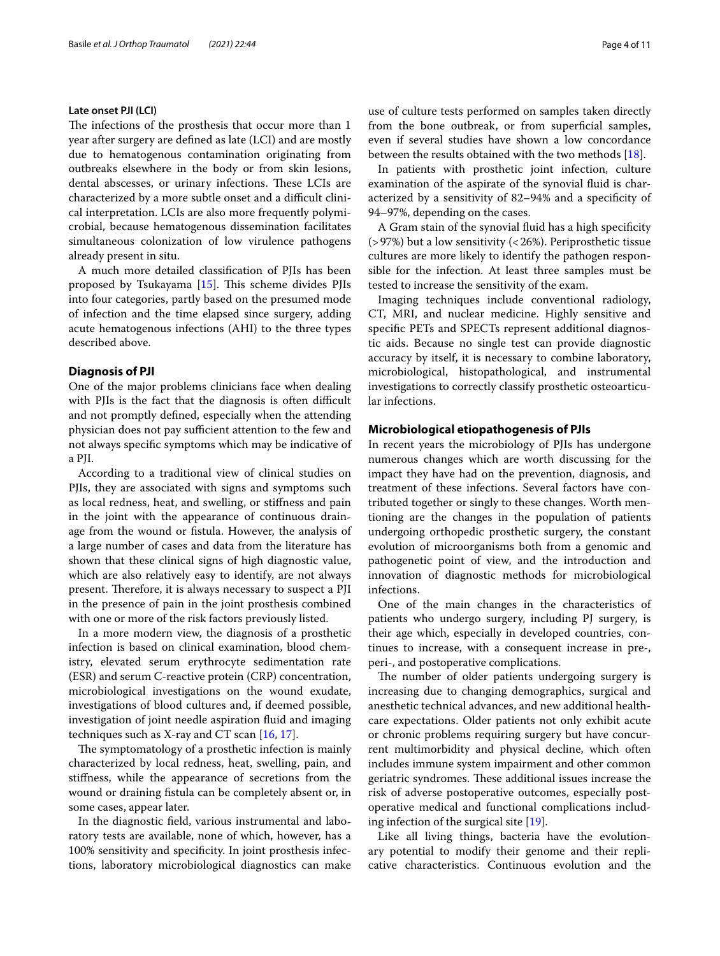#### **Late onset PJI (LCI)**

The infections of the prosthesis that occur more than 1 year after surgery are defned as late (LCI) and are mostly due to hematogenous contamination originating from outbreaks elsewhere in the body or from skin lesions, dental abscesses, or urinary infections. These LCIs are characterized by a more subtle onset and a difficult clinical interpretation. LCIs are also more frequently polymicrobial, because hematogenous dissemination facilitates simultaneous colonization of low virulence pathogens already present in situ.

A much more detailed classifcation of PJIs has been proposed by Tsukayama  $[15]$ . This scheme divides PJIs into four categories, partly based on the presumed mode of infection and the time elapsed since surgery, adding acute hematogenous infections (AHI) to the three types described above.

#### **Diagnosis of PJI**

One of the major problems clinicians face when dealing with PJIs is the fact that the diagnosis is often difficult and not promptly defned, especially when the attending physician does not pay sufficient attention to the few and not always specifc symptoms which may be indicative of a PJI.

According to a traditional view of clinical studies on PJIs, they are associated with signs and symptoms such as local redness, heat, and swelling, or stifness and pain in the joint with the appearance of continuous drainage from the wound or fstula. However, the analysis of a large number of cases and data from the literature has shown that these clinical signs of high diagnostic value, which are also relatively easy to identify, are not always present. Therefore, it is always necessary to suspect a PJI in the presence of pain in the joint prosthesis combined with one or more of the risk factors previously listed.

In a more modern view, the diagnosis of a prosthetic infection is based on clinical examination, blood chemistry, elevated serum erythrocyte sedimentation rate (ESR) and serum C-reactive protein (CRP) concentration, microbiological investigations on the wound exudate, investigations of blood cultures and, if deemed possible, investigation of joint needle aspiration fuid and imaging techniques such as X-ray and CT scan [\[16](#page-9-15), [17\]](#page-9-16).

The symptomatology of a prosthetic infection is mainly characterized by local redness, heat, swelling, pain, and stifness, while the appearance of secretions from the wound or draining fstula can be completely absent or, in some cases, appear later.

In the diagnostic feld, various instrumental and laboratory tests are available, none of which, however, has a 100% sensitivity and specifcity. In joint prosthesis infections, laboratory microbiological diagnostics can make use of culture tests performed on samples taken directly from the bone outbreak, or from superficial samples, even if several studies have shown a low concordance between the results obtained with the two methods [\[18](#page-9-17)].

In patients with prosthetic joint infection, culture examination of the aspirate of the synovial fuid is characterized by a sensitivity of 82–94% and a specifcity of 94–97%, depending on the cases.

A Gram stain of the synovial fuid has a high specifcity (>97%) but a low sensitivity (<26%). Periprosthetic tissue cultures are more likely to identify the pathogen responsible for the infection. At least three samples must be tested to increase the sensitivity of the exam.

Imaging techniques include conventional radiology, CT, MRI, and nuclear medicine. Highly sensitive and specifc PETs and SPECTs represent additional diagnostic aids. Because no single test can provide diagnostic accuracy by itself, it is necessary to combine laboratory, microbiological, histopathological, and instrumental investigations to correctly classify prosthetic osteoarticular infections.

#### **Microbiological etiopathogenesis of PJIs**

In recent years the microbiology of PJIs has undergone numerous changes which are worth discussing for the impact they have had on the prevention, diagnosis, and treatment of these infections. Several factors have contributed together or singly to these changes. Worth mentioning are the changes in the population of patients undergoing orthopedic prosthetic surgery, the constant evolution of microorganisms both from a genomic and pathogenetic point of view, and the introduction and innovation of diagnostic methods for microbiological infections.

One of the main changes in the characteristics of patients who undergo surgery, including PJ surgery, is their age which, especially in developed countries, continues to increase, with a consequent increase in pre-, peri-, and postoperative complications.

The number of older patients undergoing surgery is increasing due to changing demographics, surgical and anesthetic technical advances, and new additional healthcare expectations. Older patients not only exhibit acute or chronic problems requiring surgery but have concurrent multimorbidity and physical decline, which often includes immune system impairment and other common geriatric syndromes. These additional issues increase the risk of adverse postoperative outcomes, especially postoperative medical and functional complications including infection of the surgical site [\[19\]](#page-9-18).

Like all living things, bacteria have the evolutionary potential to modify their genome and their replicative characteristics. Continuous evolution and the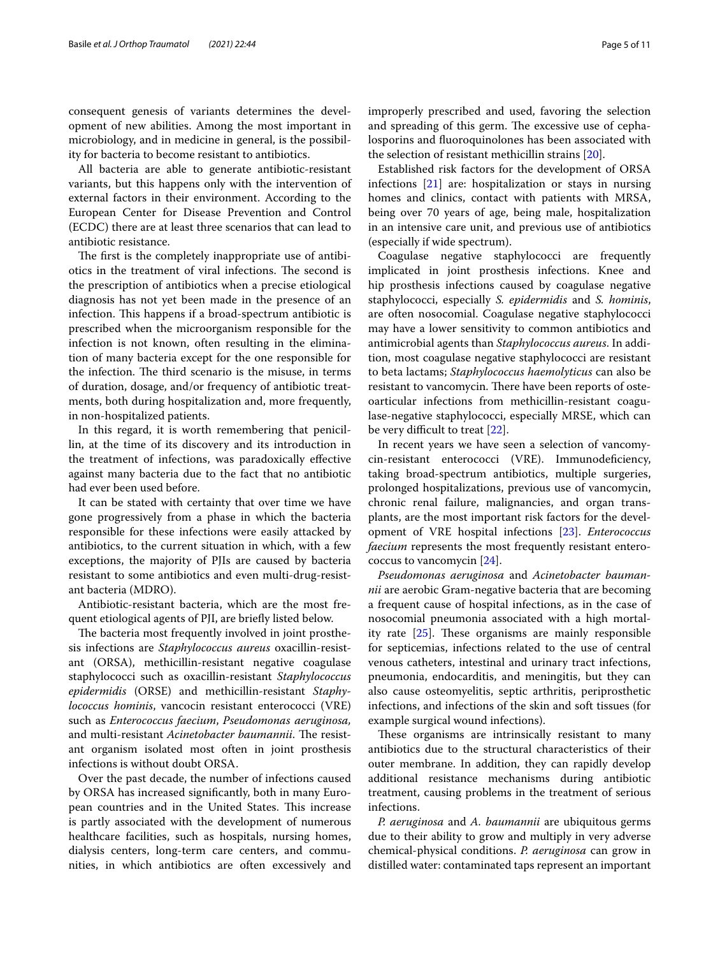consequent genesis of variants determines the development of new abilities. Among the most important in microbiology, and in medicine in general, is the possibility for bacteria to become resistant to antibiotics.

All bacteria are able to generate antibiotic-resistant variants, but this happens only with the intervention of external factors in their environment. According to the European Center for Disease Prevention and Control (ECDC) there are at least three scenarios that can lead to antibiotic resistance.

The first is the completely inappropriate use of antibiotics in the treatment of viral infections. The second is the prescription of antibiotics when a precise etiological diagnosis has not yet been made in the presence of an infection. This happens if a broad-spectrum antibiotic is prescribed when the microorganism responsible for the infection is not known, often resulting in the elimination of many bacteria except for the one responsible for the infection. The third scenario is the misuse, in terms of duration, dosage, and/or frequency of antibiotic treatments, both during hospitalization and, more frequently, in non-hospitalized patients.

In this regard, it is worth remembering that penicillin, at the time of its discovery and its introduction in the treatment of infections, was paradoxically efective against many bacteria due to the fact that no antibiotic had ever been used before.

It can be stated with certainty that over time we have gone progressively from a phase in which the bacteria responsible for these infections were easily attacked by antibiotics, to the current situation in which, with a few exceptions, the majority of PJIs are caused by bacteria resistant to some antibiotics and even multi-drug-resistant bacteria (MDRO).

Antibiotic-resistant bacteria, which are the most frequent etiological agents of PJI, are briefy listed below.

The bacteria most frequently involved in joint prosthesis infections are *Staphylococcus aureus* oxacillin-resistant (ORSA), methicillin-resistant negative coagulase staphylococci such as oxacillin-resistant *Staphylococcus epidermidis* (ORSE) and methicillin-resistant *Staphylococcus hominis*, vancocin resistant enterococci (VRE) such as *Enterococcus faecium*, *Pseudomonas aeruginosa,* and multi-resistant *Acinetobacter baumannii*. The resistant organism isolated most often in joint prosthesis infections is without doubt ORSA.

Over the past decade, the number of infections caused by ORSA has increased signifcantly, both in many European countries and in the United States. This increase is partly associated with the development of numerous healthcare facilities, such as hospitals, nursing homes, dialysis centers, long-term care centers, and communities, in which antibiotics are often excessively and improperly prescribed and used, favoring the selection and spreading of this germ. The excessive use of cephalosporins and fuoroquinolones has been associated with the selection of resistant methicillin strains [[20](#page-9-19)].

Established risk factors for the development of ORSA infections [\[21\]](#page-9-20) are: hospitalization or stays in nursing homes and clinics, contact with patients with MRSA, being over 70 years of age, being male, hospitalization in an intensive care unit, and previous use of antibiotics (especially if wide spectrum).

Coagulase negative staphylococci are frequently implicated in joint prosthesis infections. Knee and hip prosthesis infections caused by coagulase negative staphylococci, especially *S. epidermidis* and *S. hominis*, are often nosocomial. Coagulase negative staphylococci may have a lower sensitivity to common antibiotics and antimicrobial agents than *Staphylococcus aureus*. In addition, most coagulase negative staphylococci are resistant to beta lactams; *Staphylococcus haemolyticus* can also be resistant to vancomycin. There have been reports of osteoarticular infections from methicillin-resistant coagulase-negative staphylococci, especially MRSE, which can be very difficult to treat  $[22]$  $[22]$ .

In recent years we have seen a selection of vancomycin-resistant enterococci (VRE). Immunodefciency, taking broad-spectrum antibiotics, multiple surgeries, prolonged hospitalizations, previous use of vancomycin, chronic renal failure, malignancies, and organ transplants, are the most important risk factors for the development of VRE hospital infections [[23](#page-9-22)]. *Enterococcus faecium* represents the most frequently resistant enterococcus to vancomycin [\[24\]](#page-9-23).

*Pseudomonas aeruginosa* and *Acinetobacter baumannii* are aerobic Gram-negative bacteria that are becoming a frequent cause of hospital infections, as in the case of nosocomial pneumonia associated with a high mortality rate  $[25]$  $[25]$ . These organisms are mainly responsible for septicemias, infections related to the use of central venous catheters, intestinal and urinary tract infections, pneumonia, endocarditis, and meningitis, but they can also cause osteomyelitis, septic arthritis, periprosthetic infections, and infections of the skin and soft tissues (for example surgical wound infections).

These organisms are intrinsically resistant to many antibiotics due to the structural characteristics of their outer membrane. In addition, they can rapidly develop additional resistance mechanisms during antibiotic treatment, causing problems in the treatment of serious infections.

*P. aeruginosa* and *A. baumannii* are ubiquitous germs due to their ability to grow and multiply in very adverse chemical-physical conditions. *P. aeruginosa* can grow in distilled water: contaminated taps represent an important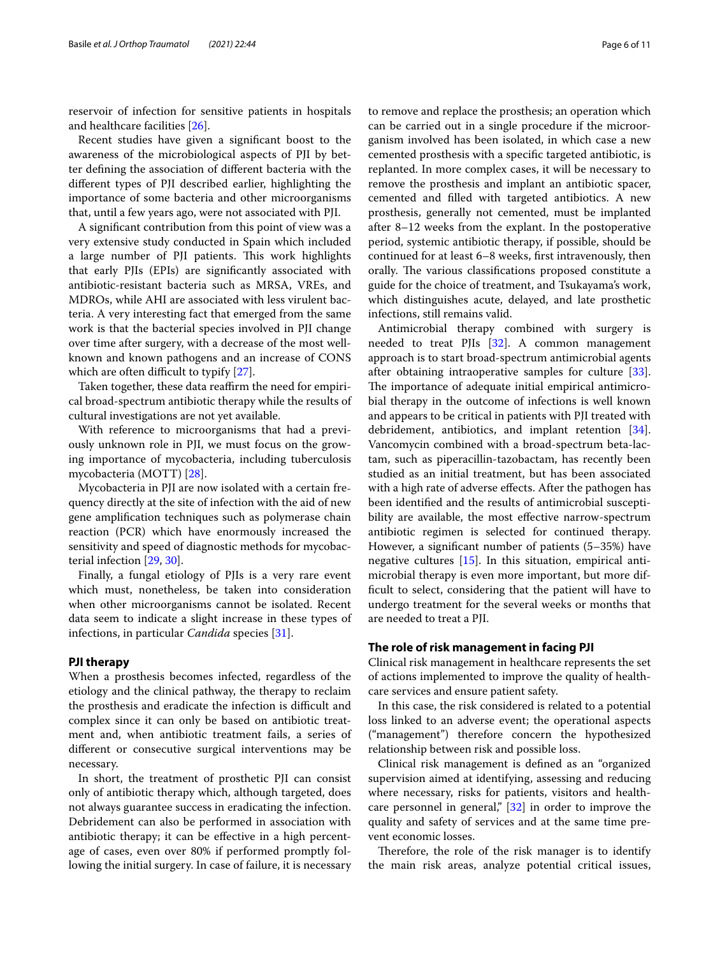reservoir of infection for sensitive patients in hospitals and healthcare facilities [[26](#page-9-25)].

Recent studies have given a signifcant boost to the awareness of the microbiological aspects of PJI by better defning the association of diferent bacteria with the diferent types of PJI described earlier, highlighting the importance of some bacteria and other microorganisms that, until a few years ago, were not associated with PJI.

A signifcant contribution from this point of view was a very extensive study conducted in Spain which included a large number of PJI patients. This work highlights that early PJIs (EPIs) are signifcantly associated with antibiotic-resistant bacteria such as MRSA, VREs, and MDROs, while AHI are associated with less virulent bacteria. A very interesting fact that emerged from the same work is that the bacterial species involved in PJI change over time after surgery, with a decrease of the most wellknown and known pathogens and an increase of CONS which are often difficult to typify  $[27]$ .

Taken together, these data reaffirm the need for empirical broad-spectrum antibiotic therapy while the results of cultural investigations are not yet available.

With reference to microorganisms that had a previously unknown role in PJI, we must focus on the growing importance of mycobacteria, including tuberculosis mycobacteria (MOTT) [[28\]](#page-9-27).

Mycobacteria in PJI are now isolated with a certain frequency directly at the site of infection with the aid of new gene amplifcation techniques such as polymerase chain reaction (PCR) which have enormously increased the sensitivity and speed of diagnostic methods for mycobacterial infection [\[29](#page-10-0), [30](#page-10-1)].

Finally, a fungal etiology of PJIs is a very rare event which must, nonetheless, be taken into consideration when other microorganisms cannot be isolated. Recent data seem to indicate a slight increase in these types of infections, in particular *Candida* species [[31\]](#page-10-2).

#### **PJI therapy**

When a prosthesis becomes infected, regardless of the etiology and the clinical pathway, the therapy to reclaim the prosthesis and eradicate the infection is difficult and complex since it can only be based on antibiotic treatment and, when antibiotic treatment fails, a series of diferent or consecutive surgical interventions may be necessary.

In short, the treatment of prosthetic PJI can consist only of antibiotic therapy which, although targeted, does not always guarantee success in eradicating the infection. Debridement can also be performed in association with antibiotic therapy; it can be efective in a high percentage of cases, even over 80% if performed promptly following the initial surgery. In case of failure, it is necessary to remove and replace the prosthesis; an operation which can be carried out in a single procedure if the microorganism involved has been isolated, in which case a new cemented prosthesis with a specifc targeted antibiotic, is replanted. In more complex cases, it will be necessary to remove the prosthesis and implant an antibiotic spacer, cemented and flled with targeted antibiotics. A new prosthesis, generally not cemented, must be implanted after 8–12 weeks from the explant. In the postoperative period, systemic antibiotic therapy, if possible, should be continued for at least 6–8 weeks, frst intravenously, then orally. The various classifications proposed constitute a guide for the choice of treatment, and Tsukayama's work, which distinguishes acute, delayed, and late prosthetic infections, still remains valid.

Antimicrobial therapy combined with surgery is needed to treat PJIs [\[32\]](#page-10-3). A common management approach is to start broad-spectrum antimicrobial agents after obtaining intraoperative samples for culture [\[33](#page-10-4)]. The importance of adequate initial empirical antimicrobial therapy in the outcome of infections is well known and appears to be critical in patients with PJI treated with debridement, antibiotics, and implant retention [\[34](#page-10-5)]. Vancomycin combined with a broad-spectrum beta-lactam, such as piperacillin-tazobactam, has recently been studied as an initial treatment, but has been associated with a high rate of adverse efects. After the pathogen has been identifed and the results of antimicrobial susceptibility are available, the most efective narrow-spectrum antibiotic regimen is selected for continued therapy. However, a signifcant number of patients (5–35%) have negative cultures [\[15\]](#page-9-14). In this situation, empirical antimicrobial therapy is even more important, but more diffcult to select, considering that the patient will have to undergo treatment for the several weeks or months that are needed to treat a PJI.

#### **The role of risk management in facing PJI**

Clinical risk management in healthcare represents the set of actions implemented to improve the quality of healthcare services and ensure patient safety.

In this case, the risk considered is related to a potential loss linked to an adverse event; the operational aspects ("management") therefore concern the hypothesized relationship between risk and possible loss.

Clinical risk management is defned as an "organized supervision aimed at identifying, assessing and reducing where necessary, risks for patients, visitors and healthcare personnel in general,"  $[32]$  in order to improve the quality and safety of services and at the same time prevent economic losses.

Therefore, the role of the risk manager is to identify the main risk areas, analyze potential critical issues,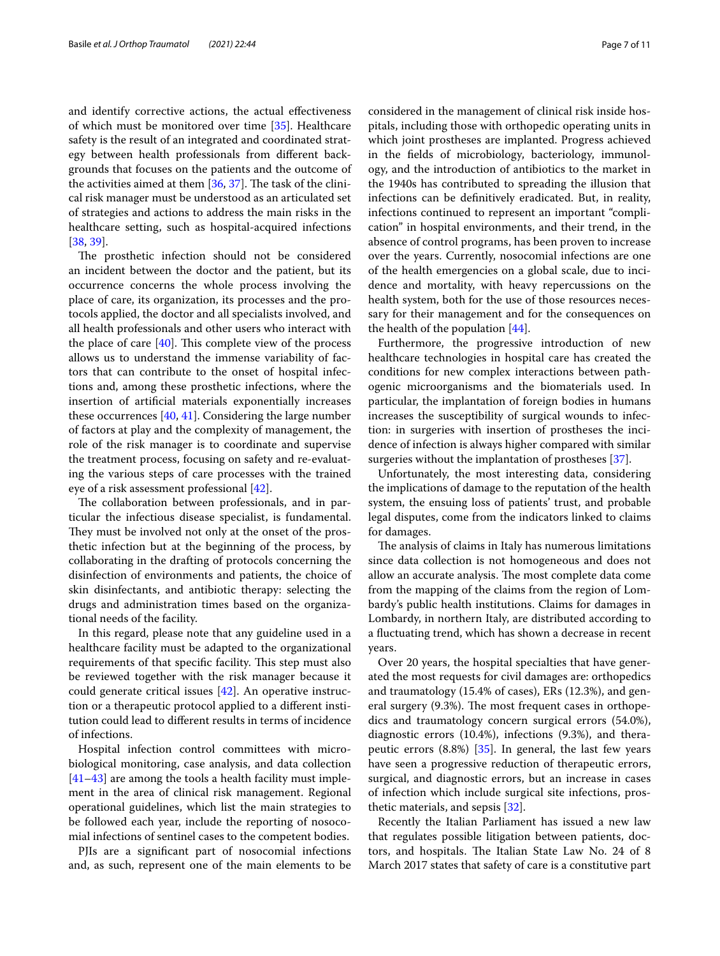and identify corrective actions, the actual efectiveness of which must be monitored over time [\[35\]](#page-10-6). Healthcare safety is the result of an integrated and coordinated strategy between health professionals from diferent backgrounds that focuses on the patients and the outcome of the activities aimed at them  $[36, 37]$  $[36, 37]$  $[36, 37]$  $[36, 37]$ . The task of the clinical risk manager must be understood as an articulated set of strategies and actions to address the main risks in the healthcare setting, such as hospital-acquired infections [[38,](#page-10-9) [39](#page-10-10)].

The prosthetic infection should not be considered an incident between the doctor and the patient, but its occurrence concerns the whole process involving the place of care, its organization, its processes and the protocols applied, the doctor and all specialists involved, and all health professionals and other users who interact with the place of care  $[40]$  $[40]$ . This complete view of the process allows us to understand the immense variability of factors that can contribute to the onset of hospital infections and, among these prosthetic infections, where the insertion of artifcial materials exponentially increases these occurrences [[40,](#page-10-11) [41](#page-10-12)]. Considering the large number of factors at play and the complexity of management, the role of the risk manager is to coordinate and supervise the treatment process, focusing on safety and re-evaluating the various steps of care processes with the trained eye of a risk assessment professional [\[42\]](#page-10-13).

The collaboration between professionals, and in particular the infectious disease specialist, is fundamental. They must be involved not only at the onset of the prosthetic infection but at the beginning of the process, by collaborating in the drafting of protocols concerning the disinfection of environments and patients, the choice of skin disinfectants, and antibiotic therapy: selecting the drugs and administration times based on the organizational needs of the facility.

In this regard, please note that any guideline used in a healthcare facility must be adapted to the organizational requirements of that specific facility. This step must also be reviewed together with the risk manager because it could generate critical issues [[42\]](#page-10-13). An operative instruction or a therapeutic protocol applied to a diferent institution could lead to diferent results in terms of incidence of infections.

Hospital infection control committees with microbiological monitoring, case analysis, and data collection [[41–](#page-10-12)[43](#page-10-14)] are among the tools a health facility must implement in the area of clinical risk management. Regional operational guidelines, which list the main strategies to be followed each year, include the reporting of nosocomial infections of sentinel cases to the competent bodies.

PJIs are a signifcant part of nosocomial infections and, as such, represent one of the main elements to be considered in the management of clinical risk inside hospitals, including those with orthopedic operating units in which joint prostheses are implanted. Progress achieved in the felds of microbiology, bacteriology, immunology, and the introduction of antibiotics to the market in the 1940s has contributed to spreading the illusion that infections can be defnitively eradicated. But, in reality, infections continued to represent an important "complication" in hospital environments, and their trend, in the absence of control programs, has been proven to increase over the years. Currently, nosocomial infections are one of the health emergencies on a global scale, due to incidence and mortality, with heavy repercussions on the health system, both for the use of those resources necessary for their management and for the consequences on the health of the population [[44\]](#page-10-15).

Furthermore, the progressive introduction of new healthcare technologies in hospital care has created the conditions for new complex interactions between pathogenic microorganisms and the biomaterials used. In particular, the implantation of foreign bodies in humans increases the susceptibility of surgical wounds to infection: in surgeries with insertion of prostheses the incidence of infection is always higher compared with similar surgeries without the implantation of prostheses [\[37](#page-10-8)].

Unfortunately, the most interesting data, considering the implications of damage to the reputation of the health system, the ensuing loss of patients' trust, and probable legal disputes, come from the indicators linked to claims for damages.

The analysis of claims in Italy has numerous limitations since data collection is not homogeneous and does not allow an accurate analysis. The most complete data come from the mapping of the claims from the region of Lombardy's public health institutions. Claims for damages in Lombardy, in northern Italy, are distributed according to a fuctuating trend, which has shown a decrease in recent years.

Over 20 years, the hospital specialties that have generated the most requests for civil damages are: orthopedics and traumatology (15.4% of cases), ERs (12.3%), and general surgery (9.3%). The most frequent cases in orthopedics and traumatology concern surgical errors (54.0%), diagnostic errors (10.4%), infections (9.3%), and therapeutic errors (8.8%) [[35](#page-10-6)]. In general, the last few years have seen a progressive reduction of therapeutic errors, surgical, and diagnostic errors, but an increase in cases of infection which include surgical site infections, prosthetic materials, and sepsis [[32\]](#page-10-3).

Recently the Italian Parliament has issued a new law that regulates possible litigation between patients, doctors, and hospitals. The Italian State Law No. 24 of 8 March 2017 states that safety of care is a constitutive part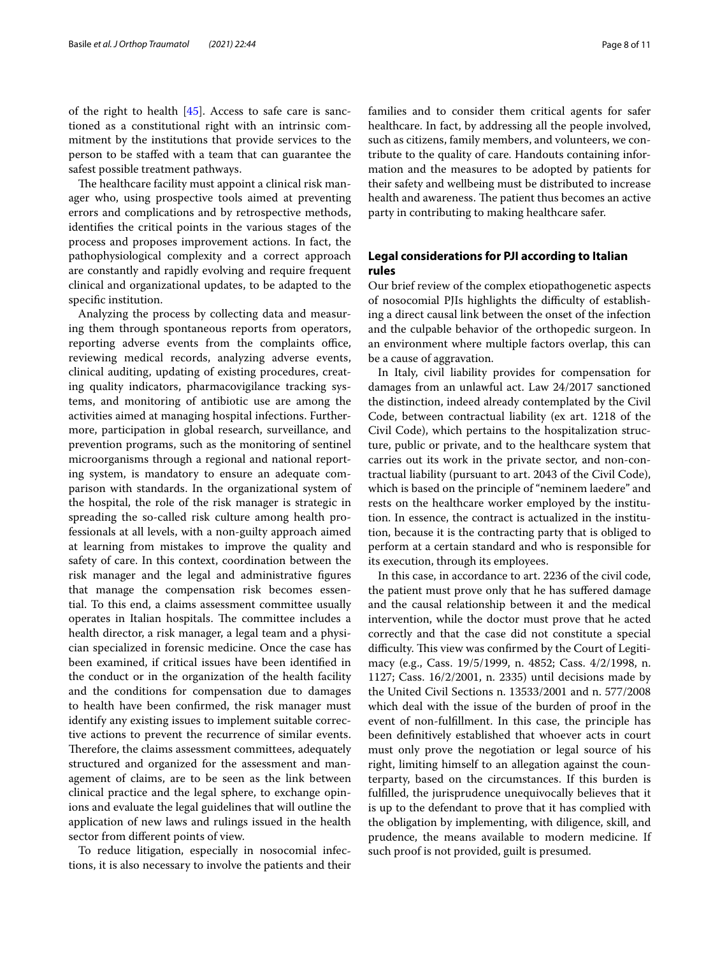of the right to health [[45](#page-10-16)]. Access to safe care is sanctioned as a constitutional right with an intrinsic commitment by the institutions that provide services to the person to be stafed with a team that can guarantee the safest possible treatment pathways.

The healthcare facility must appoint a clinical risk manager who, using prospective tools aimed at preventing errors and complications and by retrospective methods, identifes the critical points in the various stages of the process and proposes improvement actions. In fact, the pathophysiological complexity and a correct approach are constantly and rapidly evolving and require frequent clinical and organizational updates, to be adapted to the specifc institution.

Analyzing the process by collecting data and measuring them through spontaneous reports from operators, reporting adverse events from the complaints office, reviewing medical records, analyzing adverse events, clinical auditing, updating of existing procedures, creating quality indicators, pharmacovigilance tracking systems, and monitoring of antibiotic use are among the activities aimed at managing hospital infections. Furthermore, participation in global research, surveillance, and prevention programs, such as the monitoring of sentinel microorganisms through a regional and national reporting system, is mandatory to ensure an adequate comparison with standards. In the organizational system of the hospital, the role of the risk manager is strategic in spreading the so-called risk culture among health professionals at all levels, with a non-guilty approach aimed at learning from mistakes to improve the quality and safety of care. In this context, coordination between the risk manager and the legal and administrative fgures that manage the compensation risk becomes essential. To this end, a claims assessment committee usually operates in Italian hospitals. The committee includes a health director, a risk manager, a legal team and a physician specialized in forensic medicine. Once the case has been examined, if critical issues have been identifed in the conduct or in the organization of the health facility and the conditions for compensation due to damages to health have been confrmed, the risk manager must identify any existing issues to implement suitable corrective actions to prevent the recurrence of similar events. Therefore, the claims assessment committees, adequately structured and organized for the assessment and management of claims, are to be seen as the link between clinical practice and the legal sphere, to exchange opinions and evaluate the legal guidelines that will outline the application of new laws and rulings issued in the health sector from diferent points of view.

To reduce litigation, especially in nosocomial infections, it is also necessary to involve the patients and their families and to consider them critical agents for safer healthcare. In fact, by addressing all the people involved, such as citizens, family members, and volunteers, we contribute to the quality of care. Handouts containing information and the measures to be adopted by patients for their safety and wellbeing must be distributed to increase health and awareness. The patient thus becomes an active party in contributing to making healthcare safer.

#### **Legal considerations for PJI according to Italian rules**

Our brief review of the complex etiopathogenetic aspects of nosocomial PJIs highlights the difficulty of establishing a direct causal link between the onset of the infection and the culpable behavior of the orthopedic surgeon. In an environment where multiple factors overlap, this can be a cause of aggravation.

In Italy, civil liability provides for compensation for damages from an unlawful act. Law 24/2017 sanctioned the distinction, indeed already contemplated by the Civil Code, between contractual liability (ex art. 1218 of the Civil Code), which pertains to the hospitalization structure, public or private, and to the healthcare system that carries out its work in the private sector, and non-contractual liability (pursuant to art. 2043 of the Civil Code), which is based on the principle of "neminem laedere" and rests on the healthcare worker employed by the institution. In essence, the contract is actualized in the institution, because it is the contracting party that is obliged to perform at a certain standard and who is responsible for its execution, through its employees.

In this case, in accordance to art. 2236 of the civil code, the patient must prove only that he has sufered damage and the causal relationship between it and the medical intervention, while the doctor must prove that he acted correctly and that the case did not constitute a special difficulty. This view was confirmed by the Court of Legitimacy (e.g., Cass. 19/5/1999, n. 4852; Cass. 4/2/1998, n. 1127; Cass. 16/2/2001, n. 2335) until decisions made by the United Civil Sections n. 13533/2001 and n. 577/2008 which deal with the issue of the burden of proof in the event of non-fulfllment. In this case, the principle has been defnitively established that whoever acts in court must only prove the negotiation or legal source of his right, limiting himself to an allegation against the counterparty, based on the circumstances. If this burden is fulflled, the jurisprudence unequivocally believes that it is up to the defendant to prove that it has complied with the obligation by implementing, with diligence, skill, and prudence, the means available to modern medicine. If such proof is not provided, guilt is presumed.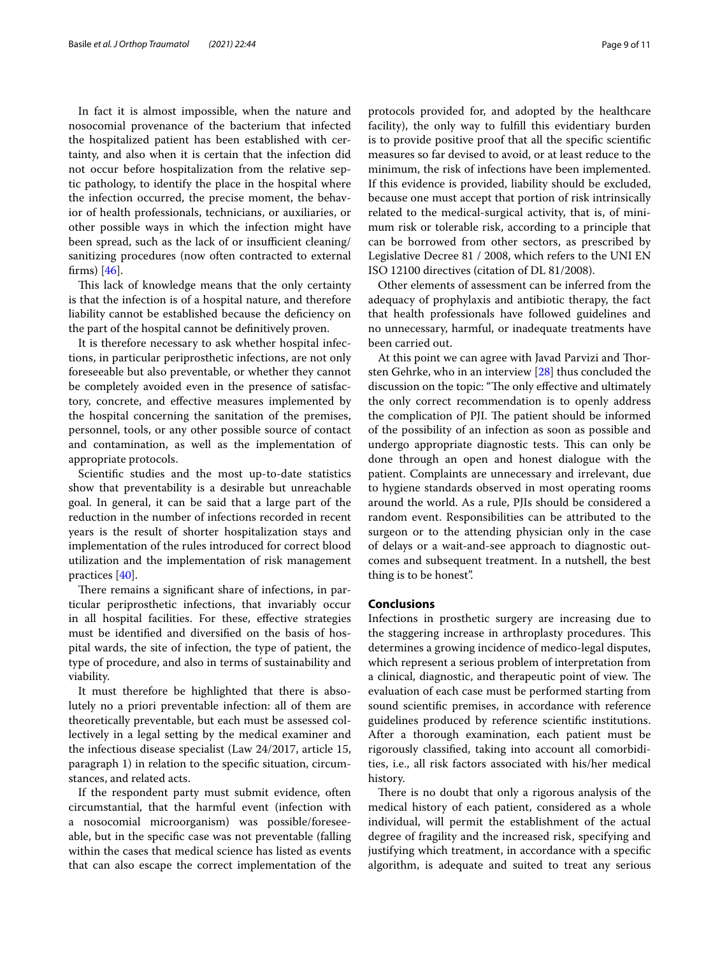In fact it is almost impossible, when the nature and nosocomial provenance of the bacterium that infected the hospitalized patient has been established with certainty, and also when it is certain that the infection did not occur before hospitalization from the relative septic pathology, to identify the place in the hospital where the infection occurred, the precise moment, the behavior of health professionals, technicians, or auxiliaries, or other possible ways in which the infection might have been spread, such as the lack of or insufficient cleaning/ sanitizing procedures (now often contracted to external firms)  $[46]$  $[46]$  $[46]$ .

This lack of knowledge means that the only certainty is that the infection is of a hospital nature, and therefore liability cannot be established because the defciency on the part of the hospital cannot be defnitively proven.

It is therefore necessary to ask whether hospital infections, in particular periprosthetic infections, are not only foreseeable but also preventable, or whether they cannot be completely avoided even in the presence of satisfactory, concrete, and efective measures implemented by the hospital concerning the sanitation of the premises, personnel, tools, or any other possible source of contact and contamination, as well as the implementation of appropriate protocols.

Scientifc studies and the most up-to-date statistics show that preventability is a desirable but unreachable goal. In general, it can be said that a large part of the reduction in the number of infections recorded in recent years is the result of shorter hospitalization stays and implementation of the rules introduced for correct blood utilization and the implementation of risk management practices [[40\]](#page-10-11).

There remains a significant share of infections, in particular periprosthetic infections, that invariably occur in all hospital facilities. For these, efective strategies must be identifed and diversifed on the basis of hospital wards, the site of infection, the type of patient, the type of procedure, and also in terms of sustainability and viability.

It must therefore be highlighted that there is absolutely no a priori preventable infection: all of them are theoretically preventable, but each must be assessed collectively in a legal setting by the medical examiner and the infectious disease specialist (Law 24/2017, article 15, paragraph 1) in relation to the specifc situation, circumstances, and related acts.

If the respondent party must submit evidence, often circumstantial, that the harmful event (infection with a nosocomial microorganism) was possible/foreseeable, but in the specifc case was not preventable (falling within the cases that medical science has listed as events that can also escape the correct implementation of the protocols provided for, and adopted by the healthcare facility), the only way to fulfll this evidentiary burden is to provide positive proof that all the specifc scientifc measures so far devised to avoid, or at least reduce to the minimum, the risk of infections have been implemented. If this evidence is provided, liability should be excluded, because one must accept that portion of risk intrinsically related to the medical-surgical activity, that is, of minimum risk or tolerable risk, according to a principle that can be borrowed from other sectors, as prescribed by Legislative Decree 81 / 2008, which refers to the UNI EN ISO 12100 directives (citation of DL 81/2008).

Other elements of assessment can be inferred from the adequacy of prophylaxis and antibiotic therapy, the fact that health professionals have followed guidelines and no unnecessary, harmful, or inadequate treatments have been carried out.

At this point we can agree with Javad Parvizi and Thorsten Gehrke, who in an interview [\[28](#page-9-27)] thus concluded the discussion on the topic: "The only effective and ultimately the only correct recommendation is to openly address the complication of PJI. The patient should be informed of the possibility of an infection as soon as possible and undergo appropriate diagnostic tests. This can only be done through an open and honest dialogue with the patient. Complaints are unnecessary and irrelevant, due to hygiene standards observed in most operating rooms around the world. As a rule, PJIs should be considered a random event. Responsibilities can be attributed to the surgeon or to the attending physician only in the case of delays or a wait-and-see approach to diagnostic outcomes and subsequent treatment. In a nutshell, the best thing is to be honest".

#### **Conclusions**

Infections in prosthetic surgery are increasing due to the staggering increase in arthroplasty procedures. This determines a growing incidence of medico-legal disputes, which represent a serious problem of interpretation from a clinical, diagnostic, and therapeutic point of view. The evaluation of each case must be performed starting from sound scientifc premises, in accordance with reference guidelines produced by reference scientifc institutions. After a thorough examination, each patient must be rigorously classifed, taking into account all comorbidities, i.e., all risk factors associated with his/her medical history.

There is no doubt that only a rigorous analysis of the medical history of each patient, considered as a whole individual, will permit the establishment of the actual degree of fragility and the increased risk, specifying and justifying which treatment, in accordance with a specifc algorithm, is adequate and suited to treat any serious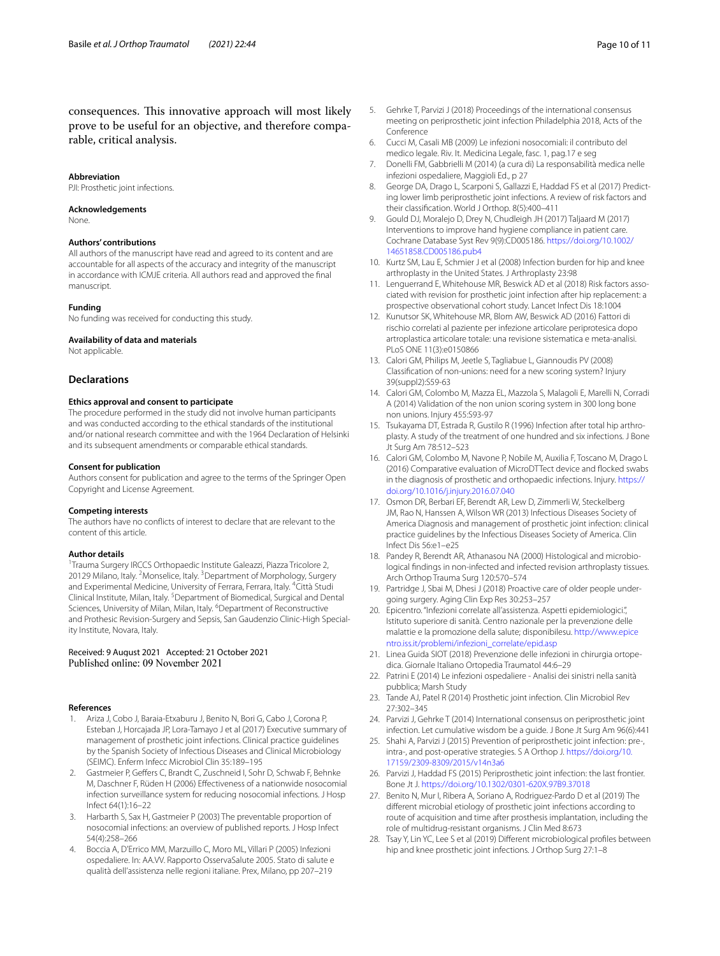#### **Abbreviation**

PJI: Prosthetic joint infections.

#### **Acknowledgements**

None.

#### **Authors' contributions**

All authors of the manuscript have read and agreed to its content and are accountable for all aspects of the accuracy and integrity of the manuscript in accordance with ICMJE criteria. All authors read and approved the fnal manuscript.

#### **Funding**

No funding was received for conducting this study.

#### **Availability of data and materials**

Not applicable.

#### **Declarations**

#### **Ethics approval and consent to participate**

The procedure performed in the study did not involve human participants and was conducted according to the ethical standards of the institutional and/or national research committee and with the 1964 Declaration of Helsinki and its subsequent amendments or comparable ethical standards.

#### **Consent for publication**

Authors consent for publication and agree to the terms of the Springer Open Copyright and License Agreement.

#### **Competing interests**

The authors have no conficts of interest to declare that are relevant to the content of this article.

#### **Author details**

<sup>1</sup> Trauma Surgery IRCCS Orthopaedic Institute Galeazzi, Piazza Tricolore 2, 20129 Milano, Italy. <sup>2</sup> Monselice, Italy. <sup>3</sup> Department of Morphology, Surgery and Experimental Medicine, University of Ferrara, Ferrara, Italy. <sup>4</sup>Città Studi Clinical Institute, Milan, Italy. <sup>5</sup> Department of Biomedical, Surgical and Dental Sciences, University of Milan, Milan, Italy. <sup>6</sup>Department of Reconstructive and Prothesic Revision-Surgery and Sepsis, San Gaudenzio Clinic-High Speciality Institute, Novara, Italy.

### Received: 9 August 2021 Accepted: 21 October 2021

#### **References**

- <span id="page-9-0"></span>1. Ariza J, Cobo J, Baraia-Etxaburu J, Benito N, Bori G, Cabo J, Corona P, Esteban J, Horcajada JP, Lora-Tamayo J et al (2017) Executive summary of management of prosthetic joint infections. Clinical practice guidelines by the Spanish Society of Infectious Diseases and Clinical Microbiology (SEIMC). Enferm Infecc Microbiol Clin 35:189–195
- <span id="page-9-1"></span>2. Gastmeier P, Geffers C, Brandt C, Zuschneid I, Sohr D, Schwab F, Behnke M, Daschner F, Rüden H (2006) Efectiveness of a nationwide nosocomial infection surveillance system for reducing nosocomial infections. J Hosp Infect 64(1):16–22
- <span id="page-9-2"></span>3. Harbarth S, Sax H, Gastmeier P (2003) The preventable proportion of nosocomial infections: an overview of published reports. J Hosp Infect 54(4):258–266
- <span id="page-9-3"></span>4. Boccia A, D'Errico MM, Marzuillo C, Moro ML, Villari P (2005) Infezioni ospedaliere. In: AA.VV. Rapporto OsservaSalute 2005. Stato di salute e qualità dell'assistenza nelle regioni italiane. Prex, Milano, pp 207–219
- <span id="page-9-4"></span>5. Gehrke T, Parvizi J (2018) Proceedings of the international consensus meeting on periprosthetic joint infection Philadelphia 2018, Acts of the Conference
- <span id="page-9-5"></span>6. Cucci M, Casali MB (2009) Le infezioni nosocomiali: il contributo del medico legale. Riv. It. Medicina Legale, fasc. 1, pag.17 e seg
- <span id="page-9-6"></span>7. Donelli FM, Gabbrielli M (2014) (a cura di) La responsabilità medica nelle infezioni ospedaliere, Maggioli Ed., p 27
- <span id="page-9-7"></span>8. George DA, Drago L, Scarponi S, Gallazzi E, Haddad FS et al (2017) Predicting lower limb periprosthetic joint infections. A review of risk factors and their classifcation. World J Orthop. 8(5):400–411
- <span id="page-9-8"></span>9. Gould DJ, Moralejo D, Drey N, Chudleigh JH (2017) Taljaard M (2017) Interventions to improve hand hygiene compliance in patient care. Cochrane Database Syst Rev 9(9):CD005186. [https://doi.org/10.1002/](https://doi.org/10.1002/14651858.CD005186.pub4) [14651858.CD005186.pub4](https://doi.org/10.1002/14651858.CD005186.pub4)
- <span id="page-9-9"></span>10. Kurtz SM, Lau E, Schmier J et al (2008) Infection burden for hip and knee arthroplasty in the United States. J Arthroplasty 23:98
- <span id="page-9-10"></span>11. Lenguerrand E, Whitehouse MR, Beswick AD et al (2018) Risk factors associated with revision for prosthetic joint infection after hip replacement: a prospective observational cohort study. Lancet Infect Dis 18:1004
- <span id="page-9-11"></span>12. Kunutsor SK, Whitehouse MR, Blom AW, Beswick AD (2016) Fattori di rischio correlati al paziente per infezione articolare periprotesica dopo artroplastica articolare totale: una revisione sistematica e meta-analisi. PLoS ONE 11(3):e0150866
- <span id="page-9-12"></span>13. Calori GM, Philips M, Jeetle S, Tagliabue L, Giannoudis PV (2008) Classifcation of non-unions: need for a new scoring system? Injury 39(suppl2):S59-63
- <span id="page-9-13"></span>14. Calori GM, Colombo M, Mazza EL, Mazzola S, Malagoli E, Marelli N, Corradi A (2014) Validation of the non union scoring system in 300 long bone non unions. Injury 455:S93-97
- <span id="page-9-14"></span>15. Tsukayama DT, Estrada R, Gustilo R (1996) Infection after total hip arthroplasty. A study of the treatment of one hundred and six infections. J Bone Jt Surg Am 78:512–523
- <span id="page-9-15"></span>16. Calori GM, Colombo M, Navone P, Nobile M, Auxilia F, Toscano M, Drago L (2016) Comparative evaluation of MicroDTTect device and focked swabs in the diagnosis of prosthetic and orthopaedic infections. Injury. [https://](https://doi.org/10.1016/j.injury.2016.07.040) [doi.org/10.1016/j.injury.2016.07.040](https://doi.org/10.1016/j.injury.2016.07.040)
- <span id="page-9-16"></span>17. Osmon DR, Berbari EF, Berendt AR, Lew D, Zimmerli W, Steckelberg JM, Rao N, Hanssen A, Wilson WR (2013) Infectious Diseases Society of America Diagnosis and management of prosthetic joint infection: clinical practice guidelines by the Infectious Diseases Society of America. Clin Infect Dis 56:e1–e25
- <span id="page-9-17"></span>18. Pandey R, Berendt AR, Athanasou NA (2000) Histological and microbiological fndings in non-infected and infected revision arthroplasty tissues. Arch Orthop Trauma Surg 120:570–574
- <span id="page-9-18"></span>19. Partridge J, Sbai M, Dhesi J (2018) Proactive care of older people undergoing surgery. Aging Clin Exp Res 30:253–257
- <span id="page-9-19"></span>20. Epicentro. "Infezioni correlate all'assistenza. Aspetti epidemiologici.", Istituto superiore di sanità. Centro nazionale per la prevenzione delle malattie e la promozione della salute; disponibilesu. [http://www.epice](http://www.epicentro.iss.it/problemi/infezioni_correlate/epid.asp) [ntro.iss.it/problemi/infezioni\\_correlate/epid.asp](http://www.epicentro.iss.it/problemi/infezioni_correlate/epid.asp)
- <span id="page-9-20"></span>21. Linea Guida SIOT (2018) Prevenzione delle infezioni in chirurgia ortopedica. Giornale Italiano Ortopedia Traumatol 44:6–29
- <span id="page-9-21"></span>22. Patrini E (2014) Le infezioni ospedaliere - Analisi dei sinistri nella sanità pubblica; Marsh Study
- <span id="page-9-22"></span>23. Tande AJ, Patel R (2014) Prosthetic joint infection. Clin Microbiol Rev 27:302–345
- <span id="page-9-23"></span>24. Parvizi J, Gehrke T (2014) International consensus on periprosthetic joint infection. Let cumulative wisdom be a guide. J Bone Jt Surg Am 96(6):441
- <span id="page-9-24"></span>25. Shahi A, Parvizi J (2015) Prevention of periprosthetic joint infection: pre-, intra-, and post-operative strategies. S A Orthop J. [https://doi.org/10.](https://doi.org/10.17159/2309-8309/2015/v14n3a6) [17159/2309-8309/2015/v14n3a6](https://doi.org/10.17159/2309-8309/2015/v14n3a6)
- <span id="page-9-25"></span>26. Parvizi J, Haddad FS (2015) Periprosthetic joint infection: the last frontier. Bone Jt J. <https://doi.org/10.1302/0301-620X.97B9.37018>
- <span id="page-9-26"></span>27. Benito N, Mur I, Ribera A, Soriano A, Rodriguez-Pardo D et al (2019) The diferent microbial etiology of prosthetic joint infections according to route of acquisition and time after prosthesis implantation, including the role of multidrug-resistant organisms. J Clin Med 8:673
- <span id="page-9-27"></span>28. Tsay Y, Lin YC, Lee S et al (2019) Diferent microbiological profles between hip and knee prosthetic joint infections. J Orthop Surg 27:1–8